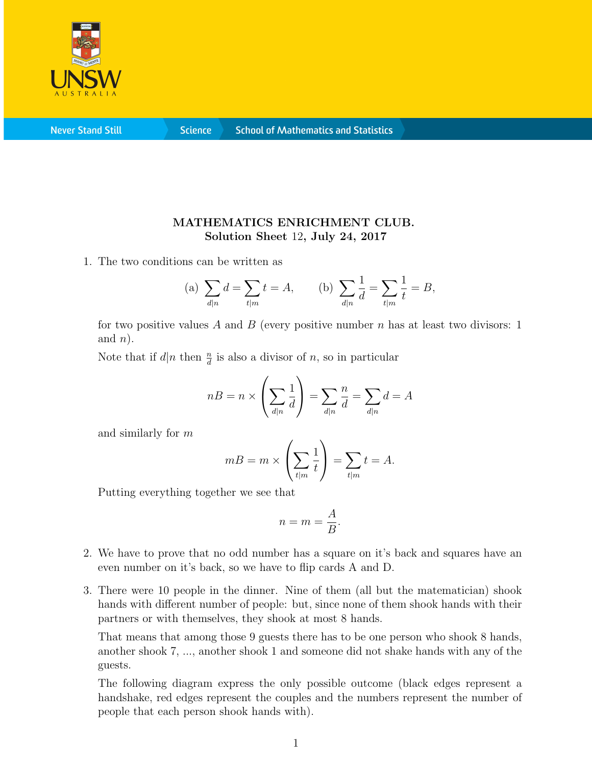

**Never Stand Still** 

**Science** 

## MATHEMATICS ENRICHMENT CLUB. Solution Sheet 12, July 24, 2017

1. The two conditions can be written as

(a) 
$$
\sum_{d|n} d = \sum_{t|m} t = A
$$
, (b)  $\sum_{d|n} \frac{1}{d} = \sum_{t|m} \frac{1}{t} = B$ ,

for two positive values A and B (every positive number  $n$  has at least two divisors: 1 and  $n$ ).

Note that if  $d|n$  then  $\frac{n}{d}$  is also a divisor of n, so in particular

$$
n = n \times \left(\sum_{d|n} \frac{1}{d}\right) = \sum_{d|n} \frac{n}{d} = \sum_{d|n} d = A
$$

and similarly for m

$$
m = m \times \left(\sum_{t|m} \frac{1}{t}\right) = \sum_{t|m} t = A.
$$

Putting everything together we see that

$$
n = m = \frac{A}{B}.
$$

- 2. We have to prove that no odd number has a square on it's back and squares have an even number on it's back, so we have to flip cards A and D.
- 3. There were 10 people in the dinner. Nine of them (all but the matematician) shook hands with different number of people: but, since none of them shook hands with their partners or with themselves, they shook at most 8 hands.

That means that among those 9 guests there has to be one person who shook 8 hands, another shook 7, ..., another shook 1 and someone did not shake hands with any of the guests.

The following diagram express the only possible outcome (black edges represent a handshake, red edges represent the couples and the numbers represent the number of people that each person shook hands with).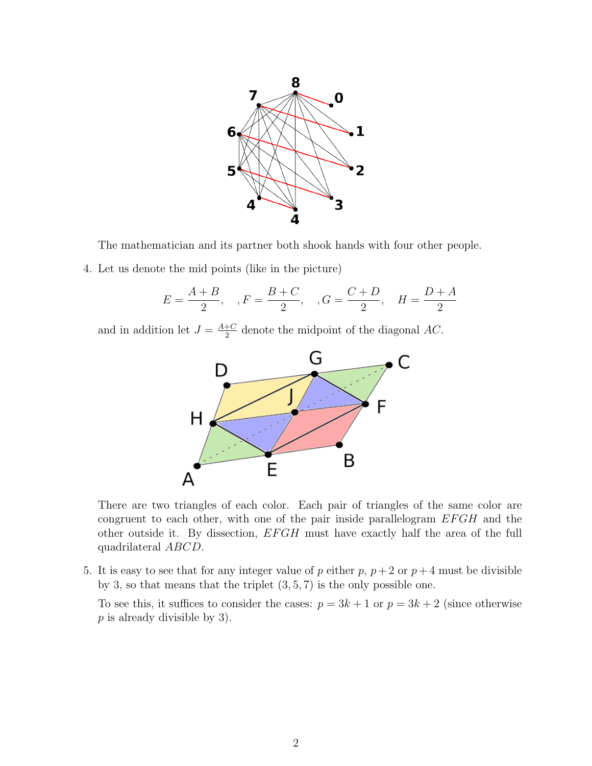

The mathematician and its partner both shook hands with four other people.

4. Let us denote the mid points (like in the picture)

$$
E = \frac{A+B}{2}
$$
,  $F = \frac{B+C}{2}$ ,  $G = \frac{C+D}{2}$ ,  $H = \frac{D+A}{2}$ 

and in addition let  $J = \frac{A+C}{2}$  $\frac{+C}{2}$  denote the midpoint of the diagonal AC.



There are two triangles of each color. Each pair of triangles of the same color are congruent to each other, with one of the pair inside parallelogram  $EFGH$  and the other outside it. By dissection,  $EFGH$  must have exactly half the area of the full quadrilateral ABCD.

5. It is easy to see that for any integer value of p either p,  $p + 2$  or  $p + 4$  must be divisible by 3, so that means that the triplet  $(3, 5, 7)$  is the only possible one.

To see this, it suffices to consider the cases:  $p = 3k + 1$  or  $p = 3k + 2$  (since otherwise p is already divisible by 3).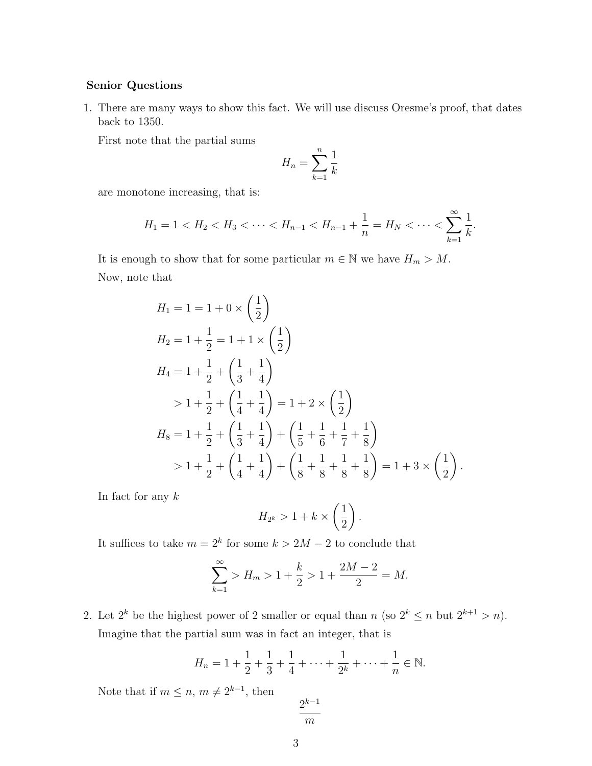## Senior Questions

1. There are many ways to show this fact. We will use discuss Oresme's proof, that dates back to 1350.

First note that the partial sums

$$
H_n = \sum_{k=1}^n \frac{1}{k}
$$

are monotone increasing, that is:

$$
H_1 = 1 < H_2 < H_3 < \cdots < H_{n-1} < H_{n-1} + \frac{1}{n} = H_N < \cdots < \sum_{k=1}^{\infty} \frac{1}{k}.
$$

It is enough to show that for some particular  $m \in \mathbb{N}$  we have  $H_m > M$ . Now, note that

$$
H_1 = 1 = 1 + 0 \times \left(\frac{1}{2}\right)
$$
  
\n
$$
H_2 = 1 + \frac{1}{2} = 1 + 1 \times \left(\frac{1}{2}\right)
$$
  
\n
$$
H_4 = 1 + \frac{1}{2} + \left(\frac{1}{3} + \frac{1}{4}\right)
$$
  
\n
$$
> 1 + \frac{1}{2} + \left(\frac{1}{4} + \frac{1}{4}\right) = 1 + 2 \times \left(\frac{1}{2}\right)
$$
  
\n
$$
H_8 = 1 + \frac{1}{2} + \left(\frac{1}{3} + \frac{1}{4}\right) + \left(\frac{1}{5} + \frac{1}{6} + \frac{1}{7} + \frac{1}{8}\right)
$$
  
\n
$$
> 1 + \frac{1}{2} + \left(\frac{1}{4} + \frac{1}{4}\right) + \left(\frac{1}{8} + \frac{1}{8} + \frac{1}{8} + \frac{1}{8}\right) = 1 + 3 \times \left(\frac{1}{2}\right).
$$

In fact for any  $k$ 

$$
H_{2^k} > 1 + k \times \left(\frac{1}{2}\right).
$$

It suffices to take  $m = 2^k$  for some  $k > 2M - 2$  to conclude that

$$
\sum_{k=1}^{\infty} > H_m > 1 + \frac{k}{2} > 1 + \frac{2M - 2}{2} = M.
$$

2. Let  $2^k$  be the highest power of 2 smaller or equal than n (so  $2^k \le n$  but  $2^{k+1} > n$ ). Imagine that the partial sum was in fact an integer, that is

$$
H_n = 1 + \frac{1}{2} + \frac{1}{3} + \frac{1}{4} + \dots + \frac{1}{2^k} + \dots + \frac{1}{n} \in \mathbb{N}.
$$

Note that if  $m \leq n, m \neq 2^{k-1}$ , then

$$
\frac{2^{k-1}}{m}
$$